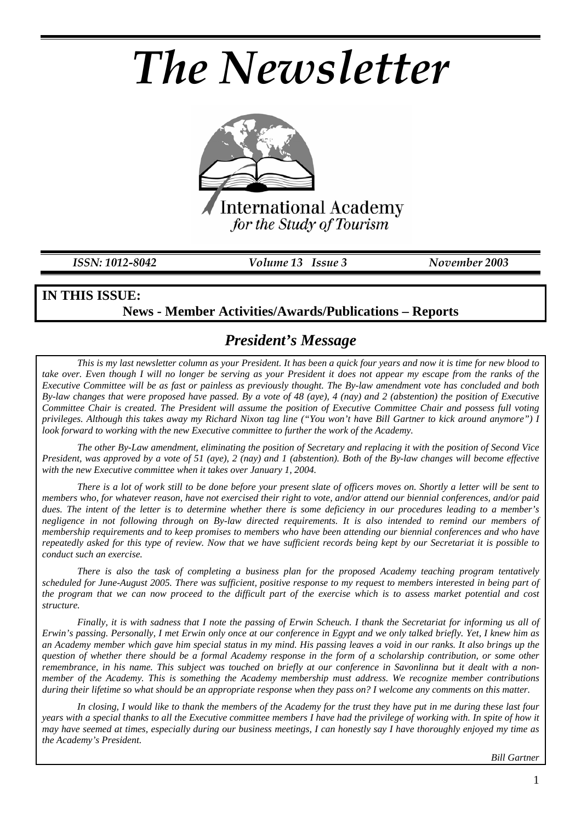# *The Newsletter*



*ISSN: 1012-8042 Volume 13 Issue 3 November 2003* 

#### **IN THIS ISSUE: News - Member Activities/Awards/Publications – Reports**

## *President's Message*

*This is my last newsletter column as your President. It has been a quick four years and now it is time for new blood to take over. Even though I will no longer be serving as your President it does not appear my escape from the ranks of the Executive Committee will be as fast or painless as previously thought. The By-law amendment vote has concluded and both By-law changes that were proposed have passed. By a vote of 48 (aye), 4 (nay) and 2 (abstention) the position of Executive Committee Chair is created. The President will assume the position of Executive Committee Chair and possess full voting privileges. Although this takes away my Richard Nixon tag line ("You won't have Bill Gartner to kick around anymore") I look forward to working with the new Executive committee to further the work of the Academy.* 

*The other By-Law amendment, eliminating the position of Secretary and replacing it with the position of Second Vice President, was approved by a vote of 51 (aye), 2 (nay) and 1 (abstention). Both of the By-law changes will become effective with the new Executive committee when it takes over January 1, 2004.* 

*There is a lot of work still to be done before your present slate of officers moves on. Shortly a letter will be sent to members who, for whatever reason, have not exercised their right to vote, and/or attend our biennial conferences, and/or paid dues. The intent of the letter is to determine whether there is some deficiency in our procedures leading to a member's negligence in not following through on By-law directed requirements. It is also intended to remind our members of membership requirements and to keep promises to members who have been attending our biennial conferences and who have repeatedly asked for this type of review. Now that we have sufficient records being kept by our Secretariat it is possible to conduct such an exercise.* 

*There is also the task of completing a business plan for the proposed Academy teaching program tentatively scheduled for June-August 2005. There was sufficient, positive response to my request to members interested in being part of the program that we can now proceed to the difficult part of the exercise which is to assess market potential and cost structure.* 

*Finally, it is with sadness that I note the passing of Erwin Scheuch. I thank the Secretariat for informing us all of Erwin's passing. Personally, I met Erwin only once at our conference in Egypt and we only talked briefly. Yet, I knew him as an Academy member which gave him special status in my mind. His passing leaves a void in our ranks. It also brings up the question of whether there should be a formal Academy response in the form of a scholarship contribution, or some other remembrance, in his name. This subject was touched on briefly at our conference in Savonlinna but it dealt with a nonmember of the Academy. This is something the Academy membership must address. We recognize member contributions during their lifetime so what should be an appropriate response when they pass on? I welcome any comments on this matter.* 

*In closing, I would like to thank the members of the Academy for the trust they have put in me during these last four years with a special thanks to all the Executive committee members I have had the privilege of working with. In spite of how it may have seemed at times, especially during our business meetings, I can honestly say I have thoroughly enjoyed my time as the Academy's President.* 

*Bill Gartner*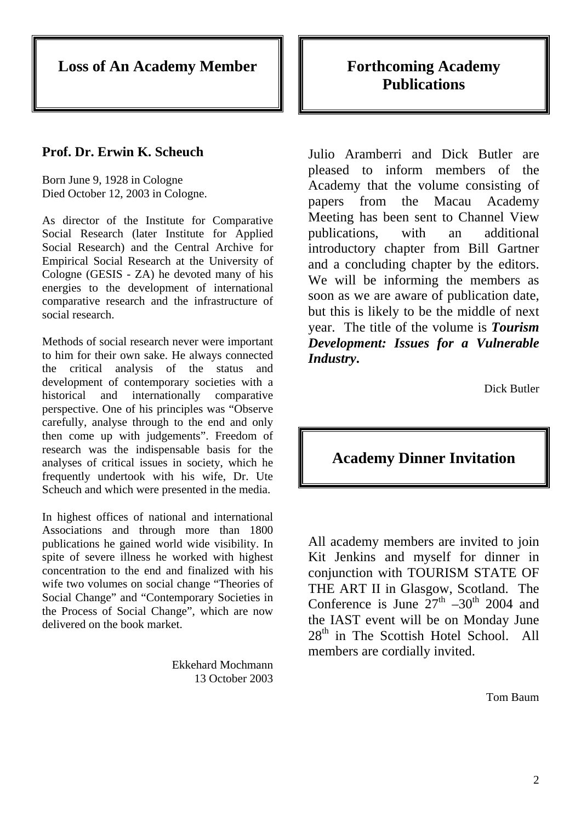**Loss of An Academy Member** 

#### **Prof. Dr. Erwin K. Scheuch**

Born June 9, 1928 in Cologne Died October 12, 2003 in Cologne.

As director of the Institute for Comparative Social Research (later Institute for Applied Social Research) and the Central Archive for Empirical Social Research at the University of Cologne (GESIS - ZA) he devoted many of his energies to the development of international comparative research and the infrastructure of social research.

Methods of social research never were important to him for their own sake. He always connected the critical analysis of the status and development of contemporary societies with a historical and internationally comparative perspective. One of his principles was "Observe carefully, analyse through to the end and only then come up with judgements". Freedom of research was the indispensable basis for the analyses of critical issues in society, which he frequently undertook with his wife, Dr. Ute Scheuch and which were presented in the media.

In highest offices of national and international Associations and through more than 1800 publications he gained world wide visibility. In spite of severe illness he worked with highest concentration to the end and finalized with his wife two volumes on social change "Theories of Social Change" and "Contemporary Societies in the Process of Social Change", which are now delivered on the book market.

> Ekkehard Mochmann 13 October 2003

## **Forthcoming Academy Publications**

Julio Aramberri and Dick Butler are pleased to inform members of the Academy that the volume consisting of papers from the Macau Academy Meeting has been sent to Channel View publications, with an additional introductory chapter from Bill Gartner and a concluding chapter by the editors. We will be informing the members as soon as we are aware of publication date, but this is likely to be the middle of next year. The title of the volume is *Tourism Development: Issues for a Vulnerable Industry***.** 

Dick Butler

#### **Academy Dinner Invitation**

All academy members are invited to join Kit Jenkins and myself for dinner in conjunction with TOURISM STATE OF THE ART II in Glasgow, Scotland. The Conference is June  $27<sup>th</sup> -30<sup>th</sup>$  2004 and the IAST event will be on Monday June  $28<sup>th</sup>$  in The Scottish Hotel School. All members are cordially invited.

Tom Baum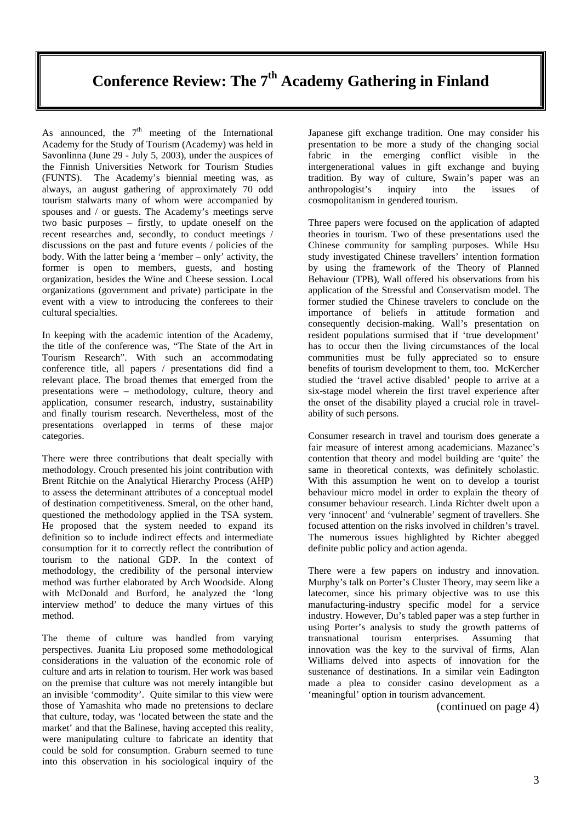# Conference Review: The 7<sup>th</sup> Academy Gathering in Finland

As announced, the  $7<sup>th</sup>$  meeting of the International Academy for the Study of Tourism (Academy) was held in Savonlinna (June 29 - July 5, 2003), under the auspices of the Finnish Universities Network for Tourism Studies (FUNTS). The Academy's biennial meeting was, as always, an august gathering of approximately 70 odd tourism stalwarts many of whom were accompanied by spouses and / or guests. The Academy's meetings serve two basic purposes – firstly, to update oneself on the recent researches and, secondly, to conduct meetings / discussions on the past and future events / policies of the body. With the latter being a 'member – only' activity, the former is open to members, guests, and hosting organization, besides the Wine and Cheese session. Local organizations (government and private) participate in the event with a view to introducing the conferees to their cultural specialties.

In keeping with the academic intention of the Academy, the title of the conference was, "The State of the Art in Tourism Research". With such an accommodating conference title, all papers / presentations did find a relevant place. The broad themes that emerged from the presentations were – methodology, culture, theory and application, consumer research, industry, sustainability and finally tourism research. Nevertheless, most of the presentations overlapped in terms of these major categories.

There were three contributions that dealt specially with methodology. Crouch presented his joint contribution with Brent Ritchie on the Analytical Hierarchy Process (AHP) to assess the determinant attributes of a conceptual model of destination competitiveness. Smeral, on the other hand, questioned the methodology applied in the TSA system. He proposed that the system needed to expand its definition so to include indirect effects and intermediate consumption for it to correctly reflect the contribution of tourism to the national GDP. In the context of methodology, the credibility of the personal interview method was further elaborated by Arch Woodside. Along with McDonald and Burford, he analyzed the 'long interview method' to deduce the many virtues of this method.

The theme of culture was handled from varying perspectives. Juanita Liu proposed some methodological considerations in the valuation of the economic role of culture and arts in relation to tourism. Her work was based on the premise that culture was not merely intangible but an invisible 'commodity'. Quite similar to this view were those of Yamashita who made no pretensions to declare that culture, today, was 'located between the state and the market' and that the Balinese, having accepted this reality, were manipulating culture to fabricate an identity that could be sold for consumption. Graburn seemed to tune into this observation in his sociological inquiry of the

Japanese gift exchange tradition. One may consider his presentation to be more a study of the changing social fabric in the emerging conflict visible in the intergenerational values in gift exchange and buying tradition. By way of culture, Swain's paper was an anthropologist's inquiry into the issues of cosmopolitanism in gendered tourism.

Three papers were focused on the application of adapted theories in tourism. Two of these presentations used the Chinese community for sampling purposes. While Hsu study investigated Chinese travellers' intention formation by using the framework of the Theory of Planned Behaviour (TPB), Wall offered his observations from his application of the Stressful and Conservatism model. The former studied the Chinese travelers to conclude on the importance of beliefs in attitude formation and consequently decision-making. Wall's presentation on resident populations surmised that if 'true development' has to occur then the living circumstances of the local communities must be fully appreciated so to ensure benefits of tourism development to them, too. McKercher studied the 'travel active disabled' people to arrive at a six-stage model wherein the first travel experience after the onset of the disability played a crucial role in travelability of such persons.

Consumer research in travel and tourism does generate a fair measure of interest among academicians. Mazanec's contention that theory and model building are 'quite' the same in theoretical contexts, was definitely scholastic. With this assumption he went on to develop a tourist behaviour micro model in order to explain the theory of consumer behaviour research. Linda Richter dwelt upon a very 'innocent' and 'vulnerable' segment of travellers. She focused attention on the risks involved in children's travel. The numerous issues highlighted by Richter abegged definite public policy and action agenda.

There were a few papers on industry and innovation. Murphy's talk on Porter's Cluster Theory, may seem like a latecomer, since his primary objective was to use this manufacturing-industry specific model for a service industry. However, Du's tabled paper was a step further in using Porter's analysis to study the growth patterns of transnational tourism enterprises. Assuming that innovation was the key to the survival of firms, Alan Williams delved into aspects of innovation for the sustenance of destinations. In a similar vein Eadington made a plea to consider casino development as a 'meaningful' option in tourism advancement.

(continued on page 4)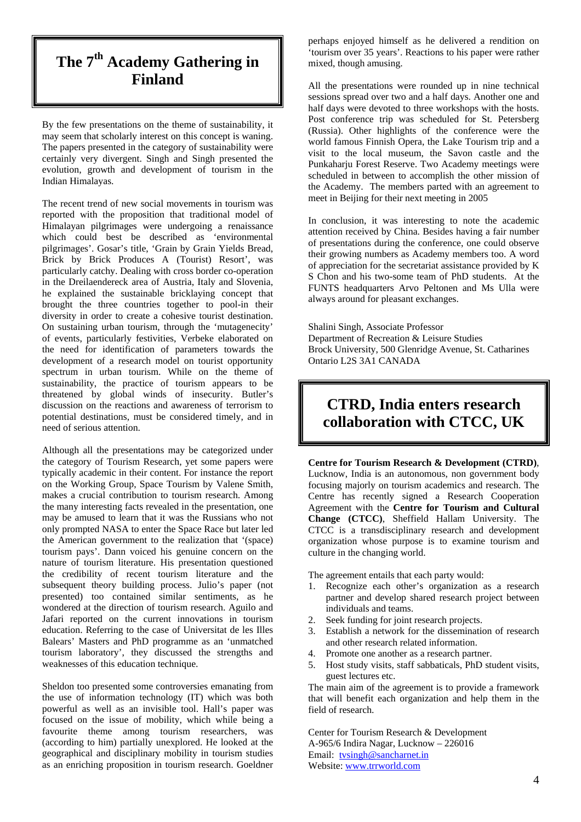# **The 7th Academy Gathering in Finland**

By the few presentations on the theme of sustainability, it may seem that scholarly interest on this concept is waning. The papers presented in the category of sustainability were certainly very divergent. Singh and Singh presented the evolution, growth and development of tourism in the Indian Himalayas.

The recent trend of new social movements in tourism was reported with the proposition that traditional model of Himalayan pilgrimages were undergoing a renaissance which could best be described as 'environmental pilgrimages'. Gosar's title, 'Grain by Grain Yields Bread, Brick by Brick Produces A (Tourist) Resort', was particularly catchy. Dealing with cross border co-operation in the Dreilaendereck area of Austria, Italy and Slovenia, he explained the sustainable bricklaying concept that brought the three countries together to pool-in their diversity in order to create a cohesive tourist destination. On sustaining urban tourism, through the 'mutagenecity' of events, particularly festivities, Verbeke elaborated on the need for identification of parameters towards the development of a research model on tourist opportunity spectrum in urban tourism. While on the theme of sustainability, the practice of tourism appears to be threatened by global winds of insecurity. Butler's discussion on the reactions and awareness of terrorism to potential destinations, must be considered timely, and in need of serious attention.

Although all the presentations may be categorized under the category of Tourism Research, yet some papers were typically academic in their content. For instance the report on the Working Group, Space Tourism by Valene Smith, makes a crucial contribution to tourism research. Among the many interesting facts revealed in the presentation, one may be amused to learn that it was the Russians who not only prompted NASA to enter the Space Race but later led the American government to the realization that '(space) tourism pays'. Dann voiced his genuine concern on the nature of tourism literature. His presentation questioned the credibility of recent tourism literature and the subsequent theory building process. Julio's paper (not presented) too contained similar sentiments, as he wondered at the direction of tourism research. Aguilo and Jafari reported on the current innovations in tourism education. Referring to the case of Universitat de les Illes Balears' Masters and PhD programme as an 'unmatched tourism laboratory', they discussed the strengths and weaknesses of this education technique.

Sheldon too presented some controversies emanating from the use of information technology (IT) which was both powerful as well as an invisible tool. Hall's paper was focused on the issue of mobility, which while being a favourite theme among tourism researchers, was (according to him) partially unexplored. He looked at the geographical and disciplinary mobility in tourism studies as an enriching proposition in tourism research. Goeldner

perhaps enjoyed himself as he delivered a rendition on 'tourism over 35 years'. Reactions to his paper were rather mixed, though amusing.

All the presentations were rounded up in nine technical sessions spread over two and a half days. Another one and half days were devoted to three workshops with the hosts. Post conference trip was scheduled for St. Petersberg (Russia). Other highlights of the conference were the world famous Finnish Opera, the Lake Tourism trip and a visit to the local museum, the Savon castle and the Punkaharju Forest Reserve. Two Academy meetings were scheduled in between to accomplish the other mission of the Academy. The members parted with an agreement to meet in Beijing for their next meeting in 2005

In conclusion, it was interesting to note the academic attention received by China. Besides having a fair number of presentations during the conference, one could observe their growing numbers as Academy members too. A word of appreciation for the secretariat assistance provided by K S Chon and his two-some team of PhD students. At the FUNTS headquarters Arvo Peltonen and Ms Ulla were always around for pleasant exchanges.

Shalini Singh, Associate Professor Department of Recreation & Leisure Studies Brock University, 500 Glenridge Avenue, St. Catharines Ontario L2S 3A1 CANADA

## **CTRD, India enters research collaboration with CTCC, UK**

**Centre for Tourism Research & Development (CTRD)**, Lucknow, India is an autonomous, non government body focusing majorly on tourism academics and research. The Centre has recently signed a Research Cooperation Agreement with the **Centre for Tourism and Cultural Change (CTCC)**, Sheffield Hallam University. The CTCC is a transdisciplinary research and development organization whose purpose is to examine tourism and culture in the changing world.

The agreement entails that each party would:

- 1. Recognize each other's organization as a research partner and develop shared research project between individuals and teams.
- 2. Seek funding for joint research projects.
- 3. Establish a network for the dissemination of research and other research related information.
- 4. Promote one another as a research partner.
- 5. Host study visits, staff sabbaticals, PhD student visits, guest lectures etc.

The main aim of the agreement is to provide a framework that will benefit each organization and help them in the field of research.

Center for Tourism Research & Development A-965/6 Indira Nagar, Lucknow – 226016 Email: tvsingh@sancharnet.in Website: www.trrworld.com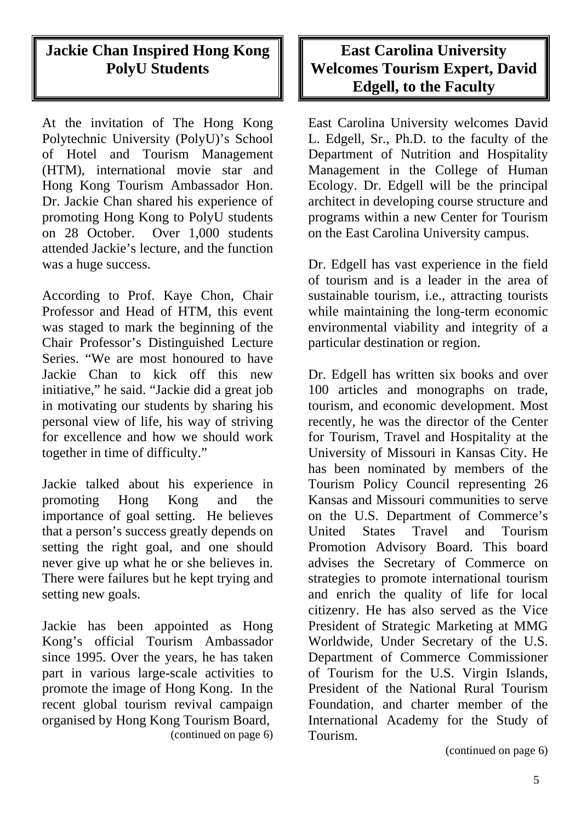# **Jackie Chan Inspired Hong Kong PolyU Students**

At the invitation of The Hong Kong Polytechnic University (PolyU)'s School of Hotel and Tourism Management (HTM), international movie star and Hong Kong Tourism Ambassador Hon. Dr. Jackie Chan shared his experience of promoting Hong Kong to PolyU students on 28 October. Over 1,000 students attended Jackie's lecture, and the function was a huge success.

According to Prof. Kaye Chon, Chair Professor and Head of HTM, this event was staged to mark the beginning of the Chair Professor's Distinguished Lecture Series. "We are most honoured to have Jackie Chan to kick off this new initiative," he said. "Jackie did a great job in motivating our students by sharing his personal view of life, his way of striving for excellence and how we should work together in time of difficulty."

Jackie talked about his experience in promoting Hong Kong and the importance of goal setting. He believes that a person's success greatly depends on setting the right goal, and one should never give up what he or she believes in. There were failures but he kept trying and setting new goals.

Jackie has been appointed as Hong Kong's official Tourism Ambassador since 1995. Over the years, he has taken part in various large-scale activities to promote the image of Hong Kong. In the recent global tourism revival campaign organised by Hong Kong Tourism Board, (continued on page 6)

## **East Carolina University Welcomes Tourism Expert, David Edgell, to the Faculty**

East Carolina University welcomes David L. Edgell, Sr., Ph.D. to the faculty of the Department of Nutrition and Hospitality Management in the College of Human Ecology. Dr. Edgell will be the principal architect in developing course structure and programs within a new Center for Tourism on the East Carolina University campus.

Dr. Edgell has vast experience in the field of tourism and is a leader in the area of sustainable tourism, i.e., attracting tourists while maintaining the long-term economic environmental viability and integrity of a particular destination or region.

Dr. Edgell has written six books and over 100 articles and monographs on trade, tourism, and economic development. Most recently, he was the director of the Center for Tourism, Travel and Hospitality at the University of Missouri in Kansas City. He has been nominated by members of the Tourism Policy Council representing 26 Kansas and Missouri communities to serve on the U.S. Department of Commerce's United States Travel and Tourism Promotion Advisory Board. This board advises the Secretary of Commerce on strategies to promote international tourism and enrich the quality of life for local citizenry. He has also served as the Vice President of Strategic Marketing at MMG Worldwide, Under Secretary of the U.S. Department of Commerce Commissioner of Tourism for the U.S. Virgin Islands, President of the National Rural Tourism Foundation, and charter member of the International Academy for the Study of Tourism.

(continued on page 6)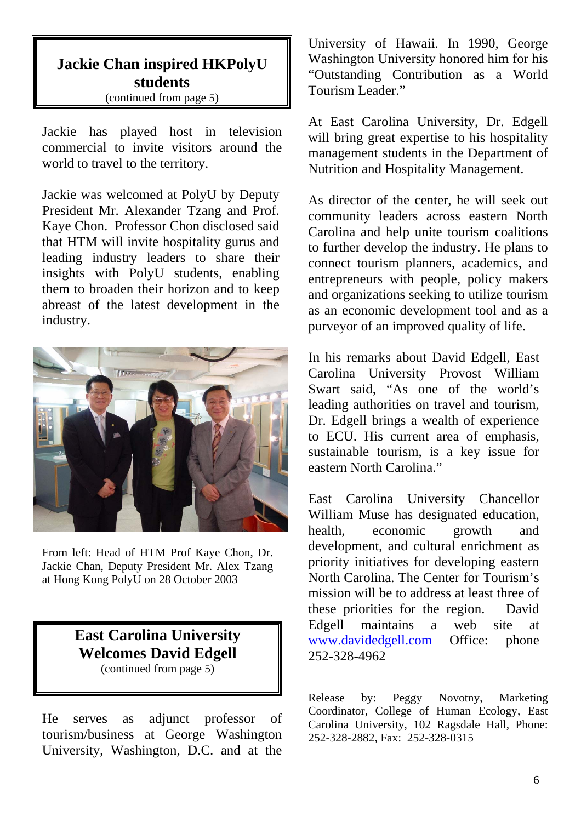# **Jackie Chan inspired HKPolyU students**

(continued from page 5)

Jackie has played host in television commercial to invite visitors around the world to travel to the territory.

Jackie was welcomed at PolyU by Deputy President Mr. Alexander Tzang and Prof. Kaye Chon. Professor Chon disclosed said that HTM will invite hospitality gurus and leading industry leaders to share their insights with PolyU students, enabling them to broaden their horizon and to keep abreast of the latest development in the industry.



From left: Head of HTM Prof Kaye Chon, Dr. Jackie Chan, Deputy President Mr. Alex Tzang at Hong Kong PolyU on 28 October 2003

#### **East Carolina University Welcomes David Edgell**  (continued from page 5)

He serves as adjunct professor of tourism/business at George Washington

University, Washington, D.C. and at the

University of Hawaii. In 1990, George Washington University honored him for his "Outstanding Contribution as a World Tourism Leader."

At East Carolina University, Dr. Edgell will bring great expertise to his hospitality management students in the Department of Nutrition and Hospitality Management.

As director of the center, he will seek out community leaders across eastern North Carolina and help unite tourism coalitions to further develop the industry. He plans to connect tourism planners, academics, and entrepreneurs with people, policy makers and organizations seeking to utilize tourism as an economic development tool and as a purveyor of an improved quality of life.

In his remarks about David Edgell, East Carolina University Provost William Swart said, "As one of the world's leading authorities on travel and tourism, Dr. Edgell brings a wealth of experience to ECU. His current area of emphasis, sustainable tourism, is a key issue for eastern North Carolina."

East Carolina University Chancellor William Muse has designated education, health, economic growth and development, and cultural enrichment as priority initiatives for developing eastern North Carolina. The Center for Tourism's mission will be to address at least three of these priorities for the region. David Edgell maintains a web site at www.davidedgell.com Office: phone 252-328-4962

Release by: Peggy Novotny, Marketing Coordinator, College of Human Ecology, East Carolina University, 102 Ragsdale Hall, Phone: 252-328-2882, Fax: 252-328-0315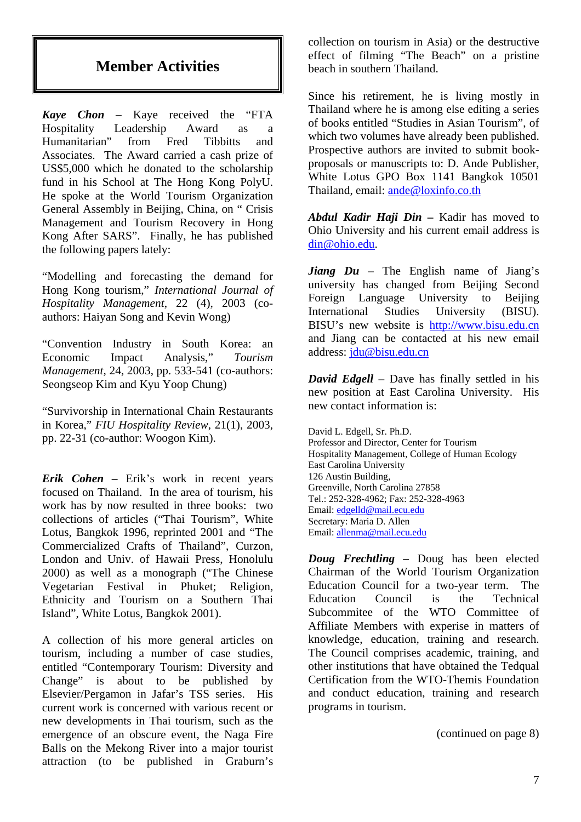## **Member Activities**

*Kaye Chon –* Kaye received the "FTA Hospitality Leadership Award as a Humanitarian" from Fred Tibbitts and Associates. The Award carried a cash prize of US\$5,000 which he donated to the scholarship fund in his School at The Hong Kong PolyU. He spoke at the World Tourism Organization General Assembly in Beijing, China, on " Crisis Management and Tourism Recovery in Hong Kong After SARS". Finally, he has published the following papers lately:

"Modelling and forecasting the demand for Hong Kong tourism," *International Journal of Hospitality Management*, 22 (4), 2003 (coauthors: Haiyan Song and Kevin Wong)

"Convention Industry in South Korea: an Economic Impact Analysis," *Tourism Management*, 24, 2003, pp. 533-541 (co-authors: Seongseop Kim and Kyu Yoop Chung)

"Survivorship in International Chain Restaurants in Korea," *FIU Hospitality Review*, 21(1), 2003, pp. 22-31 (co-author: Woogon Kim).

*Erik Cohen –* Erik's work in recent years focused on Thailand. In the area of tourism, his work has by now resulted in three books: two collections of articles ("Thai Tourism", White Lotus, Bangkok 1996, reprinted 2001 and "The Commercialized Crafts of Thailand", Curzon, London and Univ. of Hawaii Press, Honolulu 2000) as well as a monograph ("The Chinese Vegetarian Festival in Phuket; Religion, Ethnicity and Tourism on a Southern Thai Island", White Lotus, Bangkok 2001).

A collection of his more general articles on tourism, including a number of case studies, entitled "Contemporary Tourism: Diversity and Change" is about to be published by Elsevier/Pergamon in Jafar's TSS series. His current work is concerned with various recent or new developments in Thai tourism, such as the emergence of an obscure event, the Naga Fire Balls on the Mekong River into a major tourist attraction (to be published in Graburn's

collection on tourism in Asia) or the destructive effect of filming "The Beach" on a pristine beach in southern Thailand.

Since his retirement, he is living mostly in Thailand where he is among else editing a series of books entitled "Studies in Asian Tourism", of which two volumes have already been published. Prospective authors are invited to submit bookproposals or manuscripts to: D. Ande Publisher, White Lotus GPO Box 1141 Bangkok 10501 Thailand, email: ande@loxinfo.co.th

*Abdul Kadir Haji Din –* Kadir has moved to Ohio University and his current email address is din@ohio.edu.

*Jiang Du* – The English name of Jiang's university has changed from Beijing Second Foreign Language University to Beijing International Studies University (BISU). BISU's new website is http://www.bisu.edu.cn and Jiang can be contacted at his new email address: jdu@bisu.edu.cn

*David Edgell* – Dave has finally settled in his new position at East Carolina University. His new contact information is:

David L. Edgell, Sr. Ph.D. Professor and Director, Center for Tourism Hospitality Management, College of Human Ecology East Carolina University 126 Austin Building, Greenville, North Carolina 27858 Tel.: 252-328-4962; Fax: 252-328-4963 Email: edgelld@mail.ecu.edu Secretary: Maria D. Allen Email: allenma@mail.ecu.edu

*Doug Frechtling –* Doug has been elected Chairman of the World Tourism Organization Education Council for a two-year term. The Education Council is the Technical Subcommitee of the WTO Committee of Affiliate Members with experise in matters of knowledge, education, training and research. The Council comprises academic, training, and other institutions that have obtained the Tedqual Certification from the WTO-Themis Foundation and conduct education, training and research programs in tourism.

(continued on page 8)